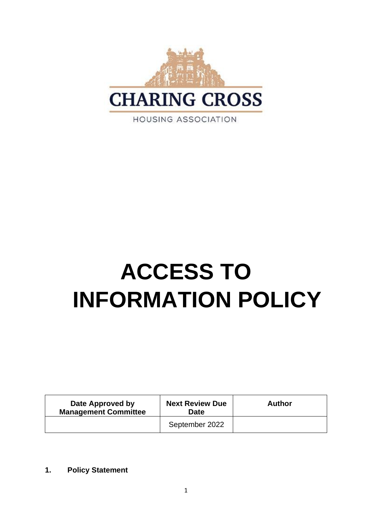

# **ACCESS TO INFORMATION POLICY**

| Date Approved by<br><b>Management Committee</b> | <b>Next Review Due</b><br><b>Date</b> | <b>Author</b> |
|-------------------------------------------------|---------------------------------------|---------------|
|                                                 | September 2022                        |               |

**1. Policy Statement**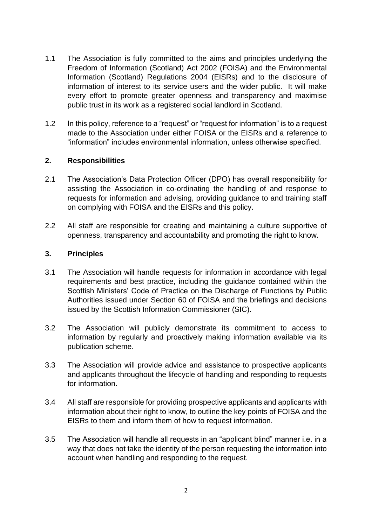- 1.1 The Association is fully committed to the aims and principles underlying the Freedom of Information (Scotland) Act 2002 (FOISA) and the Environmental Information (Scotland) Regulations 2004 (EISRs) and to the disclosure of information of interest to its service users and the wider public. It will make every effort to promote greater openness and transparency and maximise public trust in its work as a registered social landlord in Scotland.
- 1.2 In this policy, reference to a "request" or "request for information" is to a request made to the Association under either FOISA or the EISRs and a reference to "information" includes environmental information, unless otherwise specified.

## **2. Responsibilities**

- 2.1 The Association's Data Protection Officer (DPO) has overall responsibility for assisting the Association in co-ordinating the handling of and response to requests for information and advising, providing guidance to and training staff on complying with FOISA and the EISRs and this policy.
- 2.2 All staff are responsible for creating and maintaining a culture supportive of openness, transparency and accountability and promoting the right to know.

#### **3. Principles**

- 3.1 The Association will handle requests for information in accordance with legal requirements and best practice, including the guidance contained within the Scottish Ministers' Code of Practice on the Discharge of Functions by Public Authorities issued under Section 60 of FOISA and the briefings and decisions issued by the Scottish Information Commissioner (SIC).
- 3.2 The Association will publicly demonstrate its commitment to access to information by regularly and proactively making information available via its publication scheme.
- 3.3 The Association will provide advice and assistance to prospective applicants and applicants throughout the lifecycle of handling and responding to requests for information.
- 3.4 All staff are responsible for providing prospective applicants and applicants with information about their right to know, to outline the key points of FOISA and the EISRs to them and inform them of how to request information.
- 3.5 The Association will handle all requests in an "applicant blind" manner i.e. in a way that does not take the identity of the person requesting the information into account when handling and responding to the request.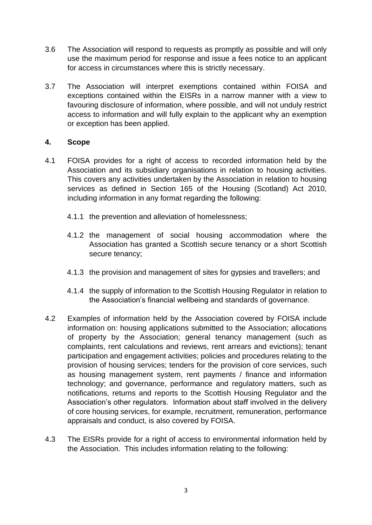- 3.6 The Association will respond to requests as promptly as possible and will only use the maximum period for response and issue a fees notice to an applicant for access in circumstances where this is strictly necessary.
- 3.7 The Association will interpret exemptions contained within FOISA and exceptions contained within the EISRs in a narrow manner with a view to favouring disclosure of information, where possible, and will not unduly restrict access to information and will fully explain to the applicant why an exemption or exception has been applied.

## **4. Scope**

- 4.1 FOISA provides for a right of access to recorded information held by the Association and its subsidiary organisations in relation to housing activities. This covers any activities undertaken by the Association in relation to housing services as defined in Section 165 of the Housing (Scotland) Act 2010, including information in any format regarding the following:
	- 4.1.1 the prevention and alleviation of homelessness;
	- 4.1.2 the management of social housing accommodation where the Association has granted a Scottish secure tenancy or a short Scottish secure tenancy;
	- 4.1.3 the provision and management of sites for gypsies and travellers; and
	- 4.1.4 the supply of information to the Scottish Housing Regulator in relation to the Association's financial wellbeing and standards of governance.
- 4.2 Examples of information held by the Association covered by FOISA include information on: housing applications submitted to the Association; allocations of property by the Association; general tenancy management (such as complaints, rent calculations and reviews, rent arrears and evictions); tenant participation and engagement activities; policies and procedures relating to the provision of housing services; tenders for the provision of core services, such as housing management system, rent payments / finance and information technology; and governance, performance and regulatory matters, such as notifications, returns and reports to the Scottish Housing Regulator and the Association's other regulators. Information about staff involved in the delivery of core housing services, for example, recruitment, remuneration, performance appraisals and conduct, is also covered by FOISA.
- 4.3 The EISRs provide for a right of access to environmental information held by the Association. This includes information relating to the following: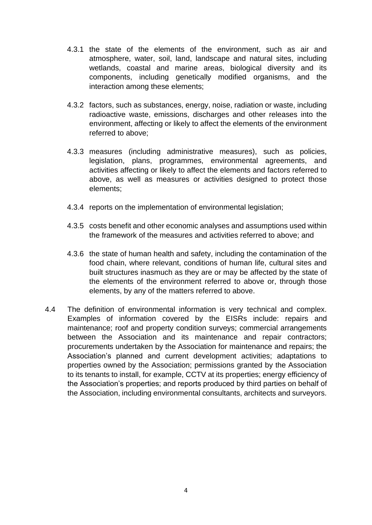- 4.3.1 the state of the elements of the environment, such as air and atmosphere, water, soil, land, landscape and natural sites, including wetlands, coastal and marine areas, biological diversity and its components, including genetically modified organisms, and the interaction among these elements;
- 4.3.2 factors, such as substances, energy, noise, radiation or waste, including radioactive waste, emissions, discharges and other releases into the environment, affecting or likely to affect the elements of the environment referred to above;
- 4.3.3 measures (including administrative measures), such as policies, legislation, plans, programmes, environmental agreements, and activities affecting or likely to affect the elements and factors referred to above, as well as measures or activities designed to protect those elements;
- 4.3.4 reports on the implementation of environmental legislation;
- 4.3.5 costs benefit and other economic analyses and assumptions used within the framework of the measures and activities referred to above; and
- 4.3.6 the state of human health and safety, including the contamination of the food chain, where relevant, conditions of human life, cultural sites and built structures inasmuch as they are or may be affected by the state of the elements of the environment referred to above or, through those elements, by any of the matters referred to above.
- 4.4 The definition of environmental information is very technical and complex. Examples of information covered by the EISRs include: repairs and maintenance; roof and property condition surveys; commercial arrangements between the Association and its maintenance and repair contractors; procurements undertaken by the Association for maintenance and repairs; the Association's planned and current development activities; adaptations to properties owned by the Association; permissions granted by the Association to its tenants to install, for example, CCTV at its properties; energy efficiency of the Association's properties; and reports produced by third parties on behalf of the Association, including environmental consultants, architects and surveyors.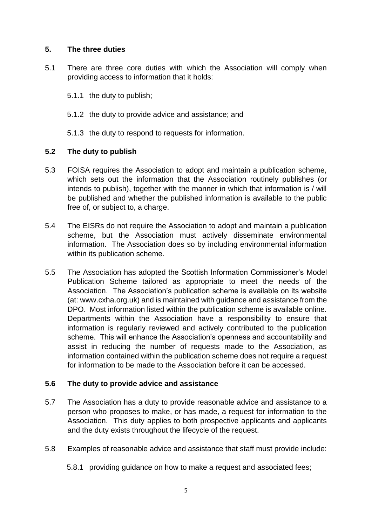## **5. The three duties**

- 5.1 There are three core duties with which the Association will comply when providing access to information that it holds:
	- 5.1.1 the duty to publish;
	- 5.1.2 the duty to provide advice and assistance; and
	- 5.1.3 the duty to respond to requests for information.

# **5.2 The duty to publish**

- 5.3 FOISA requires the Association to adopt and maintain a publication scheme, which sets out the information that the Association routinely publishes (or intends to publish), together with the manner in which that information is / will be published and whether the published information is available to the public free of, or subject to, a charge.
- 5.4 The EISRs do not require the Association to adopt and maintain a publication scheme, but the Association must actively disseminate environmental information. The Association does so by including environmental information within its publication scheme.
- 5.5 The Association has adopted the Scottish Information Commissioner's Model Publication Scheme tailored as appropriate to meet the needs of the Association. The Association's publication scheme is available on its website (at: www.cxha.org.uk) and is maintained with guidance and assistance from the DPO. Most information listed within the publication scheme is available online. Departments within the Association have a responsibility to ensure that information is regularly reviewed and actively contributed to the publication scheme. This will enhance the Association's openness and accountability and assist in reducing the number of requests made to the Association, as information contained within the publication scheme does not require a request for information to be made to the Association before it can be accessed.

#### **5.6 The duty to provide advice and assistance**

- 5.7 The Association has a duty to provide reasonable advice and assistance to a person who proposes to make, or has made, a request for information to the Association. This duty applies to both prospective applicants and applicants and the duty exists throughout the lifecycle of the request.
- 5.8 Examples of reasonable advice and assistance that staff must provide include:
	- 5.8.1 providing guidance on how to make a request and associated fees;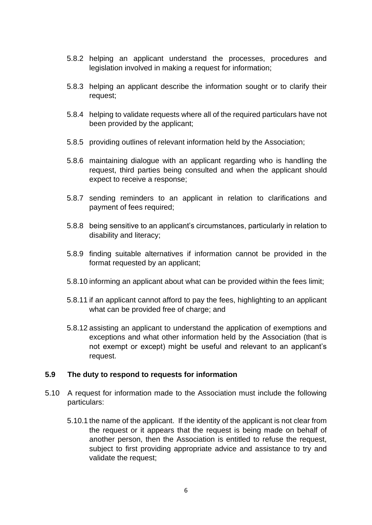- 5.8.2 helping an applicant understand the processes, procedures and legislation involved in making a request for information;
- 5.8.3 helping an applicant describe the information sought or to clarify their request;
- 5.8.4 helping to validate requests where all of the required particulars have not been provided by the applicant;
- 5.8.5 providing outlines of relevant information held by the Association;
- 5.8.6 maintaining dialogue with an applicant regarding who is handling the request, third parties being consulted and when the applicant should expect to receive a response;
- 5.8.7 sending reminders to an applicant in relation to clarifications and payment of fees required;
- 5.8.8 being sensitive to an applicant's circumstances, particularly in relation to disability and literacy;
- 5.8.9 finding suitable alternatives if information cannot be provided in the format requested by an applicant;
- 5.8.10 informing an applicant about what can be provided within the fees limit;
- 5.8.11 if an applicant cannot afford to pay the fees, highlighting to an applicant what can be provided free of charge; and
- 5.8.12 assisting an applicant to understand the application of exemptions and exceptions and what other information held by the Association (that is not exempt or except) might be useful and relevant to an applicant's request.

#### **5.9 The duty to respond to requests for information**

- 5.10 A request for information made to the Association must include the following particulars:
	- 5.10.1 the name of the applicant. If the identity of the applicant is not clear from the request or it appears that the request is being made on behalf of another person, then the Association is entitled to refuse the request, subject to first providing appropriate advice and assistance to try and validate the request;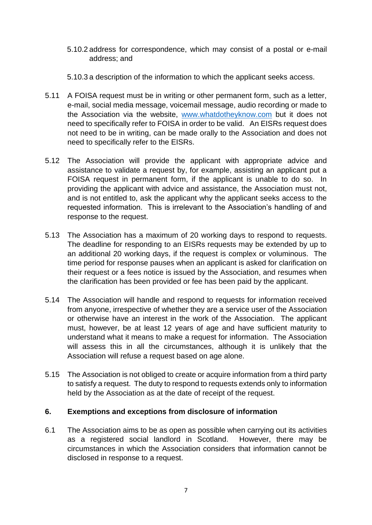- 5.10.2 address for correspondence, which may consist of a postal or e-mail address; and
- 5.10.3 a description of the information to which the applicant seeks access.
- 5.11 A FOISA request must be in writing or other permanent form, such as a letter, e-mail, social media message, voicemail message, audio recording or made to the Association via the website, [www.whatdotheyknow.com](http://www.whatdotheyknow.com/) but it does not need to specifically refer to FOISA in order to be valid. An EISRs request does not need to be in writing, can be made orally to the Association and does not need to specifically refer to the EISRs.
- 5.12 The Association will provide the applicant with appropriate advice and assistance to validate a request by, for example, assisting an applicant put a FOISA request in permanent form, if the applicant is unable to do so. In providing the applicant with advice and assistance, the Association must not, and is not entitled to, ask the applicant why the applicant seeks access to the requested information. This is irrelevant to the Association's handling of and response to the request.
- 5.13 The Association has a maximum of 20 working days to respond to requests. The deadline for responding to an EISRs requests may be extended by up to an additional 20 working days, if the request is complex or voluminous. The time period for response pauses when an applicant is asked for clarification on their request or a fees notice is issued by the Association, and resumes when the clarification has been provided or fee has been paid by the applicant.
- 5.14 The Association will handle and respond to requests for information received from anyone, irrespective of whether they are a service user of the Association or otherwise have an interest in the work of the Association. The applicant must, however, be at least 12 years of age and have sufficient maturity to understand what it means to make a request for information. The Association will assess this in all the circumstances, although it is unlikely that the Association will refuse a request based on age alone.
- 5.15 The Association is not obliged to create or acquire information from a third party to satisfy a request. The duty to respond to requests extends only to information held by the Association as at the date of receipt of the request.

# **6. Exemptions and exceptions from disclosure of information**

6.1 The Association aims to be as open as possible when carrying out its activities as a registered social landlord in Scotland. However, there may be circumstances in which the Association considers that information cannot be disclosed in response to a request.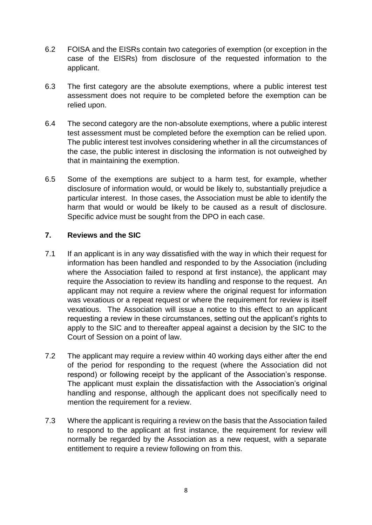- 6.2 FOISA and the EISRs contain two categories of exemption (or exception in the case of the EISRs) from disclosure of the requested information to the applicant.
- 6.3 The first category are the absolute exemptions, where a public interest test assessment does not require to be completed before the exemption can be relied upon.
- 6.4 The second category are the non-absolute exemptions, where a public interest test assessment must be completed before the exemption can be relied upon. The public interest test involves considering whether in all the circumstances of the case, the public interest in disclosing the information is not outweighed by that in maintaining the exemption.
- 6.5 Some of the exemptions are subject to a harm test, for example, whether disclosure of information would, or would be likely to, substantially prejudice a particular interest. In those cases, the Association must be able to identify the harm that would or would be likely to be caused as a result of disclosure. Specific advice must be sought from the DPO in each case.

## **7. Reviews and the SIC**

- 7.1 If an applicant is in any way dissatisfied with the way in which their request for information has been handled and responded to by the Association (including where the Association failed to respond at first instance), the applicant may require the Association to review its handling and response to the request. An applicant may not require a review where the original request for information was vexatious or a repeat request or where the requirement for review is itself vexatious. The Association will issue a notice to this effect to an applicant requesting a review in these circumstances, setting out the applicant's rights to apply to the SIC and to thereafter appeal against a decision by the SIC to the Court of Session on a point of law.
- 7.2 The applicant may require a review within 40 working days either after the end of the period for responding to the request (where the Association did not respond) or following receipt by the applicant of the Association's response. The applicant must explain the dissatisfaction with the Association's original handling and response, although the applicant does not specifically need to mention the requirement for a review.
- 7.3 Where the applicant is requiring a review on the basis that the Association failed to respond to the applicant at first instance, the requirement for review will normally be regarded by the Association as a new request, with a separate entitlement to require a review following on from this.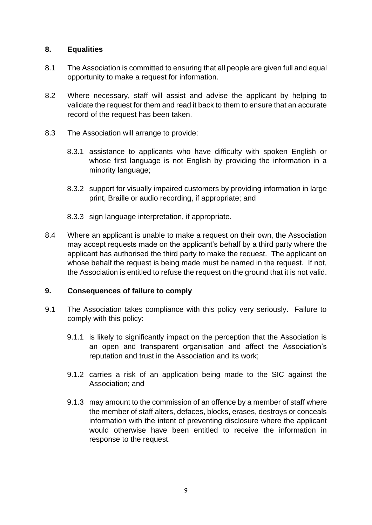## **8. Equalities**

- 8.1 The Association is committed to ensuring that all people are given full and equal opportunity to make a request for information.
- 8.2 Where necessary, staff will assist and advise the applicant by helping to validate the request for them and read it back to them to ensure that an accurate record of the request has been taken.
- 8.3 The Association will arrange to provide:
	- 8.3.1 assistance to applicants who have difficulty with spoken English or whose first language is not English by providing the information in a minority language;
	- 8.3.2 support for visually impaired customers by providing information in large print, Braille or audio recording, if appropriate; and
	- 8.3.3 sign language interpretation, if appropriate.
- 8.4 Where an applicant is unable to make a request on their own, the Association may accept requests made on the applicant's behalf by a third party where the applicant has authorised the third party to make the request. The applicant on whose behalf the request is being made must be named in the request. If not, the Association is entitled to refuse the request on the ground that it is not valid.

# **9. Consequences of failure to comply**

- 9.1 The Association takes compliance with this policy very seriously. Failure to comply with this policy:
	- 9.1.1 is likely to significantly impact on the perception that the Association is an open and transparent organisation and affect the Association's reputation and trust in the Association and its work;
	- 9.1.2 carries a risk of an application being made to the SIC against the Association; and
	- 9.1.3 may amount to the commission of an offence by a member of staff where the member of staff alters, defaces, blocks, erases, destroys or conceals information with the intent of preventing disclosure where the applicant would otherwise have been entitled to receive the information in response to the request.